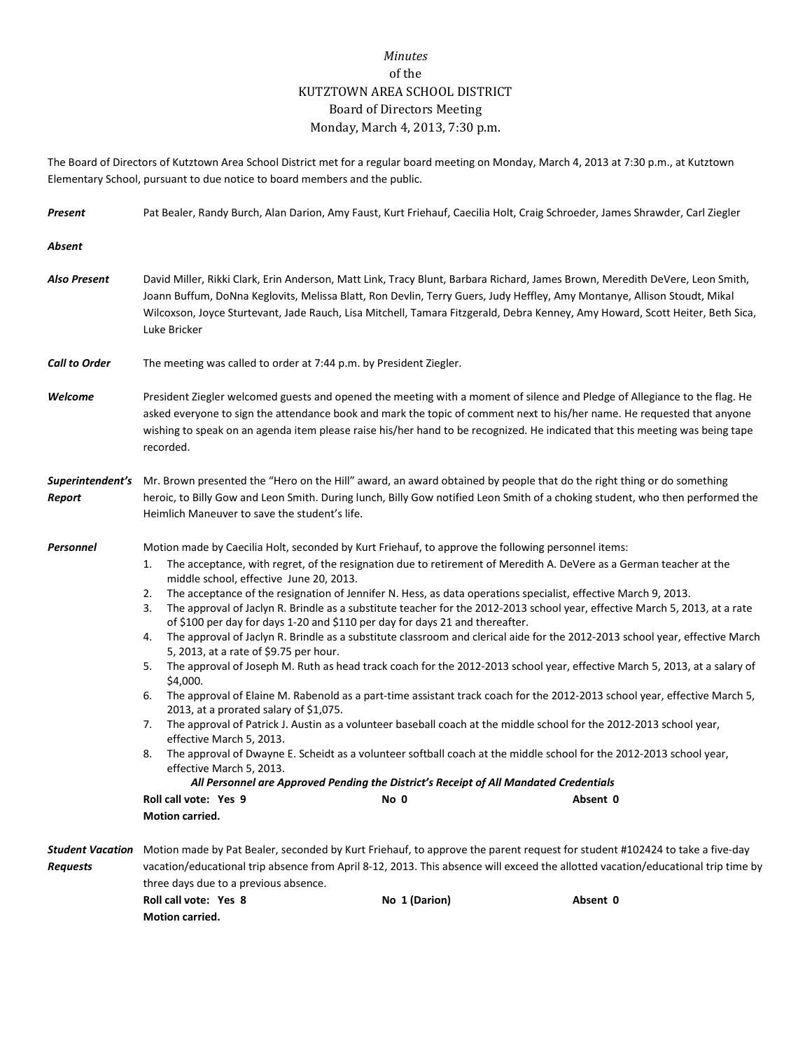## *Minutes* of the KUTZTOWN AREA SCHOOL DISTRICT Board of Directors Meeting Monday, March 4, 2013, 7:30 p.m.

The Board of Directors of Kutztown Area School District met for a regular board meeting on Monday, March 4, 2013 at 7:30 p.m., at Kutztown Elementary School, pursuant to due notice to board members and the public.

| Present                                    | Pat Bealer, Randy Burch, Alan Darion, Amy Faust, Kurt Friehauf, Caecilia Holt, Craig Schroeder, James Shrawder, Carl Ziegler                                                                                                                                                                                                                                                                                                                                                                                                                                                                                                                                                                                                                                                                                                                                                                                                                                                                                                                                                                                                                                                                                                                                                                                                                                                                                                                                                                                                                                                                                         |               |                                                                                                                                                                                                                                                                            |  |  |
|--------------------------------------------|----------------------------------------------------------------------------------------------------------------------------------------------------------------------------------------------------------------------------------------------------------------------------------------------------------------------------------------------------------------------------------------------------------------------------------------------------------------------------------------------------------------------------------------------------------------------------------------------------------------------------------------------------------------------------------------------------------------------------------------------------------------------------------------------------------------------------------------------------------------------------------------------------------------------------------------------------------------------------------------------------------------------------------------------------------------------------------------------------------------------------------------------------------------------------------------------------------------------------------------------------------------------------------------------------------------------------------------------------------------------------------------------------------------------------------------------------------------------------------------------------------------------------------------------------------------------------------------------------------------------|---------------|----------------------------------------------------------------------------------------------------------------------------------------------------------------------------------------------------------------------------------------------------------------------------|--|--|
| Absent                                     |                                                                                                                                                                                                                                                                                                                                                                                                                                                                                                                                                                                                                                                                                                                                                                                                                                                                                                                                                                                                                                                                                                                                                                                                                                                                                                                                                                                                                                                                                                                                                                                                                      |               |                                                                                                                                                                                                                                                                            |  |  |
| <b>Also Present</b>                        | David Miller, Rikki Clark, Erin Anderson, Matt Link, Tracy Blunt, Barbara Richard, James Brown, Meredith DeVere, Leon Smith,<br>Joann Buffum, DoNna Keglovits, Melissa Blatt, Ron Devlin, Terry Guers, Judy Heffley, Amy Montanye, Allison Stoudt, Mikal<br>Wilcoxson, Joyce Sturtevant, Jade Rauch, Lisa Mitchell, Tamara Fitzgerald, Debra Kenney, Amy Howard, Scott Heiter, Beth Sica,<br>Luke Bricker                                                                                                                                                                                                                                                                                                                                                                                                                                                                                                                                                                                                                                                                                                                                                                                                                                                                                                                                                                                                                                                                                                                                                                                                            |               |                                                                                                                                                                                                                                                                            |  |  |
| <b>Call to Order</b>                       | The meeting was called to order at 7:44 p.m. by President Ziegler.                                                                                                                                                                                                                                                                                                                                                                                                                                                                                                                                                                                                                                                                                                                                                                                                                                                                                                                                                                                                                                                                                                                                                                                                                                                                                                                                                                                                                                                                                                                                                   |               |                                                                                                                                                                                                                                                                            |  |  |
| Welcome                                    | President Ziegler welcomed guests and opened the meeting with a moment of silence and Pledge of Allegiance to the flag. He<br>asked everyone to sign the attendance book and mark the topic of comment next to his/her name. He requested that anyone<br>wishing to speak on an agenda item please raise his/her hand to be recognized. He indicated that this meeting was being tape<br>recorded.                                                                                                                                                                                                                                                                                                                                                                                                                                                                                                                                                                                                                                                                                                                                                                                                                                                                                                                                                                                                                                                                                                                                                                                                                   |               |                                                                                                                                                                                                                                                                            |  |  |
| Superintendent's<br>Report                 | Mr. Brown presented the "Hero on the Hill" award, an award obtained by people that do the right thing or do something<br>heroic, to Billy Gow and Leon Smith. During lunch, Billy Gow notified Leon Smith of a choking student, who then performed the<br>Heimlich Maneuver to save the student's life.                                                                                                                                                                                                                                                                                                                                                                                                                                                                                                                                                                                                                                                                                                                                                                                                                                                                                                                                                                                                                                                                                                                                                                                                                                                                                                              |               |                                                                                                                                                                                                                                                                            |  |  |
| Personnel                                  | Motion made by Caecilia Holt, seconded by Kurt Friehauf, to approve the following personnel items:<br>The acceptance, with regret, of the resignation due to retirement of Meredith A. DeVere as a German teacher at the<br>1.<br>middle school, effective June 20, 2013.<br>The acceptance of the resignation of Jennifer N. Hess, as data operations specialist, effective March 9, 2013.<br>2.<br>The approval of Jaclyn R. Brindle as a substitute teacher for the 2012-2013 school year, effective March 5, 2013, at a rate<br>3.<br>of \$100 per day for days 1-20 and \$110 per day for days 21 and thereafter.<br>The approval of Jaclyn R. Brindle as a substitute classroom and clerical aide for the 2012-2013 school year, effective March<br>4.<br>5, 2013, at a rate of \$9.75 per hour.<br>The approval of Joseph M. Ruth as head track coach for the 2012-2013 school year, effective March 5, 2013, at a salary of<br>5.<br>\$4,000.<br>The approval of Elaine M. Rabenold as a part-time assistant track coach for the 2012-2013 school year, effective March 5,<br>6.<br>2013, at a prorated salary of \$1,075.<br>The approval of Patrick J. Austin as a volunteer baseball coach at the middle school for the 2012-2013 school year,<br>7.<br>effective March 5, 2013.<br>The approval of Dwayne E. Scheidt as a volunteer softball coach at the middle school for the 2012-2013 school year,<br>8.<br>effective March 5, 2013.<br>All Personnel are Approved Pending the District's Receipt of All Mandated Credentials<br>Roll call vote: Yes 9<br>No 0<br>Absent 0<br><b>Motion carried.</b> |               |                                                                                                                                                                                                                                                                            |  |  |
| <b>Student Vacation</b><br><b>Requests</b> | three days due to a previous absence.<br>Roll call vote: Yes 8<br>Motion carried.                                                                                                                                                                                                                                                                                                                                                                                                                                                                                                                                                                                                                                                                                                                                                                                                                                                                                                                                                                                                                                                                                                                                                                                                                                                                                                                                                                                                                                                                                                                                    | No 1 (Darion) | Motion made by Pat Bealer, seconded by Kurt Friehauf, to approve the parent request for student #102424 to take a five-day<br>vacation/educational trip absence from April 8-12, 2013. This absence will exceed the allotted vacation/educational trip time by<br>Absent 0 |  |  |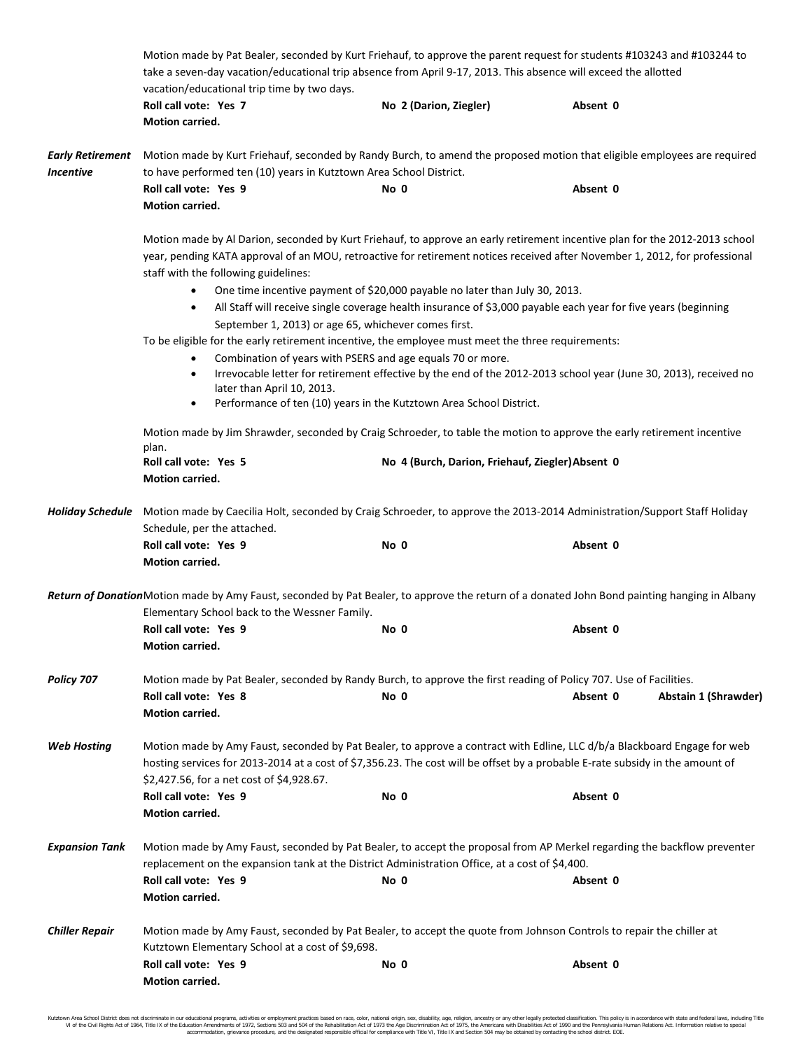|                                             | Motion made by Pat Bealer, seconded by Kurt Friehauf, to approve the parent request for students #103243 and #103244 to<br>take a seven-day vacation/educational trip absence from April 9-17, 2013. This absence will exceed the allotted<br>vacation/educational trip time by two days.              |                                                  |                                                                                                                                             |  |  |  |
|---------------------------------------------|--------------------------------------------------------------------------------------------------------------------------------------------------------------------------------------------------------------------------------------------------------------------------------------------------------|--------------------------------------------------|---------------------------------------------------------------------------------------------------------------------------------------------|--|--|--|
|                                             | Roll call vote: Yes 7<br>Motion carried.                                                                                                                                                                                                                                                               | No 2 (Darion, Ziegler)                           | Absent 0                                                                                                                                    |  |  |  |
| <b>Early Retirement</b><br><b>Incentive</b> | Motion made by Kurt Friehauf, seconded by Randy Burch, to amend the proposed motion that eligible employees are required<br>to have performed ten (10) years in Kutztown Area School District.                                                                                                         |                                                  |                                                                                                                                             |  |  |  |
|                                             | Roll call vote: Yes 9<br>Motion carried.                                                                                                                                                                                                                                                               | No 0                                             | Absent 0                                                                                                                                    |  |  |  |
|                                             | Motion made by Al Darion, seconded by Kurt Friehauf, to approve an early retirement incentive plan for the 2012-2013 school<br>year, pending KATA approval of an MOU, retroactive for retirement notices received after November 1, 2012, for professional<br>staff with the following guidelines:     |                                                  |                                                                                                                                             |  |  |  |
|                                             | One time incentive payment of \$20,000 payable no later than July 30, 2013.<br>All Staff will receive single coverage health insurance of \$3,000 payable each year for five years (beginning<br>$\bullet$<br>September 1, 2013) or age 65, whichever comes first.                                     |                                                  |                                                                                                                                             |  |  |  |
|                                             | To be eligible for the early retirement incentive, the employee must meet the three requirements:<br>Combination of years with PSERS and age equals 70 or more.<br>٠                                                                                                                                   |                                                  |                                                                                                                                             |  |  |  |
|                                             | Irrevocable letter for retirement effective by the end of the 2012-2013 school year (June 30, 2013), received no<br>$\bullet$<br>later than April 10, 2013.<br>Performance of ten (10) years in the Kutztown Area School District.<br>$\bullet$                                                        |                                                  |                                                                                                                                             |  |  |  |
|                                             | Motion made by Jim Shrawder, seconded by Craig Schroeder, to table the motion to approve the early retirement incentive<br>plan.                                                                                                                                                                       |                                                  |                                                                                                                                             |  |  |  |
|                                             | Roll call vote: Yes 5<br>Motion carried.                                                                                                                                                                                                                                                               | No 4 (Burch, Darion, Friehauf, Ziegler) Absent 0 |                                                                                                                                             |  |  |  |
|                                             | Holiday Schedule Motion made by Caecilia Holt, seconded by Craig Schroeder, to approve the 2013-2014 Administration/Support Staff Holiday<br>Schedule, per the attached.                                                                                                                               |                                                  |                                                                                                                                             |  |  |  |
|                                             | Roll call vote: Yes 9<br>Motion carried.                                                                                                                                                                                                                                                               | No 0                                             | Absent 0                                                                                                                                    |  |  |  |
|                                             | Elementary School back to the Wessner Family.                                                                                                                                                                                                                                                          |                                                  | Return of DonationMotion made by Amy Faust, seconded by Pat Bealer, to approve the return of a donated John Bond painting hanging in Albany |  |  |  |
|                                             | Roll call vote: Yes 9<br>Motion carried.                                                                                                                                                                                                                                                               | No 0                                             | Absent 0                                                                                                                                    |  |  |  |
| Policy 707                                  | Motion made by Pat Bealer, seconded by Randy Burch, to approve the first reading of Policy 707. Use of Facilities.<br>Roll call vote: Yes 8<br><b>Motion carried.</b>                                                                                                                                  | No 0                                             | Absent 0<br>Abstain 1 (Shrawder)                                                                                                            |  |  |  |
| <b>Web Hosting</b>                          | Motion made by Amy Faust, seconded by Pat Bealer, to approve a contract with Edline, LLC d/b/a Blackboard Engage for web<br>hosting services for 2013-2014 at a cost of \$7,356.23. The cost will be offset by a probable E-rate subsidy in the amount of<br>\$2,427.56, for a net cost of \$4,928.67. |                                                  |                                                                                                                                             |  |  |  |
|                                             | Roll call vote: Yes 9<br>Motion carried.                                                                                                                                                                                                                                                               | No 0                                             | Absent 0                                                                                                                                    |  |  |  |
| <b>Expansion Tank</b>                       | Motion made by Amy Faust, seconded by Pat Bealer, to accept the proposal from AP Merkel regarding the backflow preventer<br>replacement on the expansion tank at the District Administration Office, at a cost of \$4,400.                                                                             |                                                  |                                                                                                                                             |  |  |  |
|                                             | Roll call vote: Yes 9<br>Motion carried.                                                                                                                                                                                                                                                               | No 0                                             | Absent 0                                                                                                                                    |  |  |  |
| <b>Chiller Repair</b>                       | Motion made by Amy Faust, seconded by Pat Bealer, to accept the quote from Johnson Controls to repair the chiller at<br>Kutztown Elementary School at a cost of \$9,698.                                                                                                                               |                                                  |                                                                                                                                             |  |  |  |
|                                             | Roll call vote: Yes 9<br>Motion carried.                                                                                                                                                                                                                                                               | No 0                                             | Absent 0                                                                                                                                    |  |  |  |

Kutztown Area School District does not discriminate in our educational programs, activities or employment practices based on race, color, national origin, sex, disability, age, religion, ancestry or any other legally prot